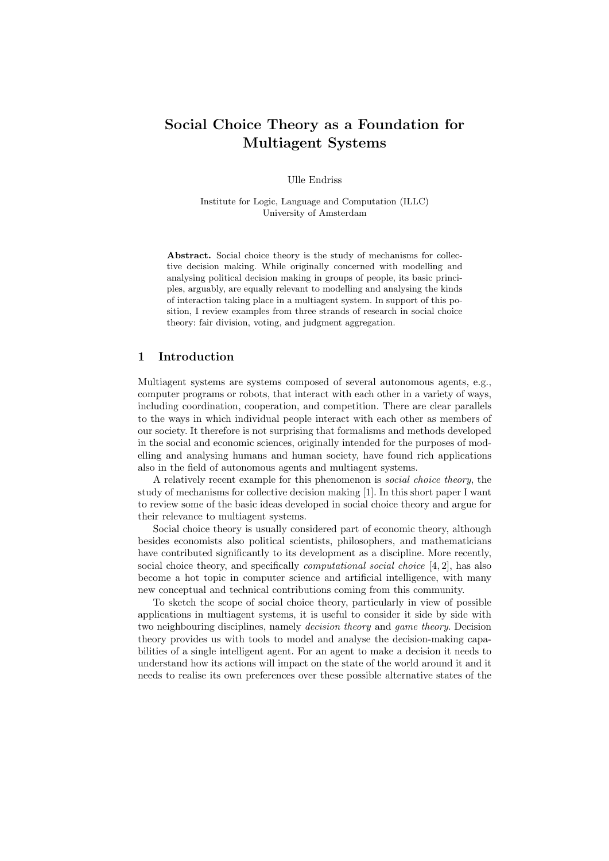# Social Choice Theory as a Foundation for Multiagent Systems

Ulle Endriss

Institute for Logic, Language and Computation (ILLC) University of Amsterdam

Abstract. Social choice theory is the study of mechanisms for collective decision making. While originally concerned with modelling and analysing political decision making in groups of people, its basic principles, arguably, are equally relevant to modelling and analysing the kinds of interaction taking place in a multiagent system. In support of this position, I review examples from three strands of research in social choice theory: fair division, voting, and judgment aggregation.

## 1 Introduction

Multiagent systems are systems composed of several autonomous agents, e.g., computer programs or robots, that interact with each other in a variety of ways, including coordination, cooperation, and competition. There are clear parallels to the ways in which individual people interact with each other as members of our society. It therefore is not surprising that formalisms and methods developed in the social and economic sciences, originally intended for the purposes of modelling and analysing humans and human society, have found rich applications also in the field of autonomous agents and multiagent systems.

A relatively recent example for this phenomenon is social choice theory, the study of mechanisms for collective decision making [1]. In this short paper I want to review some of the basic ideas developed in social choice theory and argue for their relevance to multiagent systems.

Social choice theory is usually considered part of economic theory, although besides economists also political scientists, philosophers, and mathematicians have contributed significantly to its development as a discipline. More recently, social choice theory, and specifically *computational social choice* [4, 2], has also become a hot topic in computer science and artificial intelligence, with many new conceptual and technical contributions coming from this community.

To sketch the scope of social choice theory, particularly in view of possible applications in multiagent systems, it is useful to consider it side by side with two neighbouring disciplines, namely decision theory and game theory. Decision theory provides us with tools to model and analyse the decision-making capabilities of a single intelligent agent. For an agent to make a decision it needs to understand how its actions will impact on the state of the world around it and it needs to realise its own preferences over these possible alternative states of the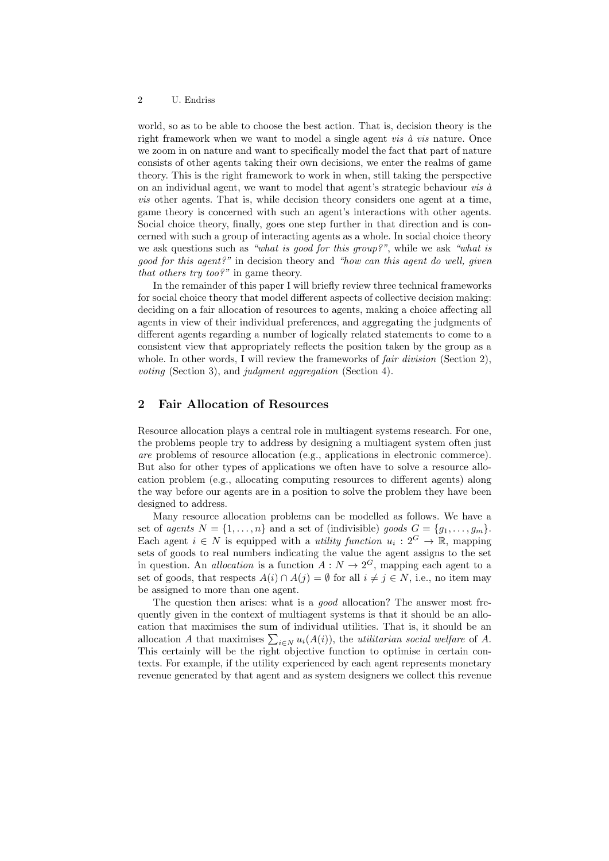#### 2 U. Endriss

world, so as to be able to choose the best action. That is, decision theory is the right framework when we want to model a single agent *vis*  $\dot{a}$  *vis* nature. Once we zoom in on nature and want to specifically model the fact that part of nature consists of other agents taking their own decisions, we enter the realms of game theory. This is the right framework to work in when, still taking the perspective on an individual agent, we want to model that agent's strategic behaviour *vis*  $\dot{a}$ vis other agents. That is, while decision theory considers one agent at a time, game theory is concerned with such an agent's interactions with other agents. Social choice theory, finally, goes one step further in that direction and is concerned with such a group of interacting agents as a whole. In social choice theory we ask questions such as "what is good for this group?", while we ask "what is good for this agent?" in decision theory and "how can this agent do well, given that others try too?" in game theory.

In the remainder of this paper I will briefly review three technical frameworks for social choice theory that model different aspects of collective decision making: deciding on a fair allocation of resources to agents, making a choice affecting all agents in view of their individual preferences, and aggregating the judgments of different agents regarding a number of logically related statements to come to a consistent view that appropriately reflects the position taken by the group as a whole. In other words, I will review the frameworks of *fair division* (Section 2), voting (Section 3), and judgment aggregation (Section 4).

#### 2 Fair Allocation of Resources

Resource allocation plays a central role in multiagent systems research. For one, the problems people try to address by designing a multiagent system often just are problems of resource allocation (e.g., applications in electronic commerce). But also for other types of applications we often have to solve a resource allocation problem (e.g., allocating computing resources to different agents) along the way before our agents are in a position to solve the problem they have been designed to address.

Many resource allocation problems can be modelled as follows. We have a set of agents  $N = \{1, \ldots, n\}$  and a set of (indivisible) goods  $G = \{g_1, \ldots, g_m\}.$ Each agent  $i \in N$  is equipped with a *utility function*  $u_i: 2^G \to \mathbb{R}$ , mapping sets of goods to real numbers indicating the value the agent assigns to the set in question. An *allocation* is a function  $A: N \to 2^G$ , mapping each agent to a set of goods, that respects  $A(i) \cap A(j) = \emptyset$  for all  $i \neq j \in N$ , i.e., no item may be assigned to more than one agent.

The question then arises: what is a *good* allocation? The answer most frequently given in the context of multiagent systems is that it should be an allocation that maximises the sum of individual utilities. That is, it should be an allocation A that maximises  $\sum_{i \in N} u_i(A(i))$ , the *utilitarian social welfare* of A. This certainly will be the right objective function to optimise in certain contexts. For example, if the utility experienced by each agent represents monetary revenue generated by that agent and as system designers we collect this revenue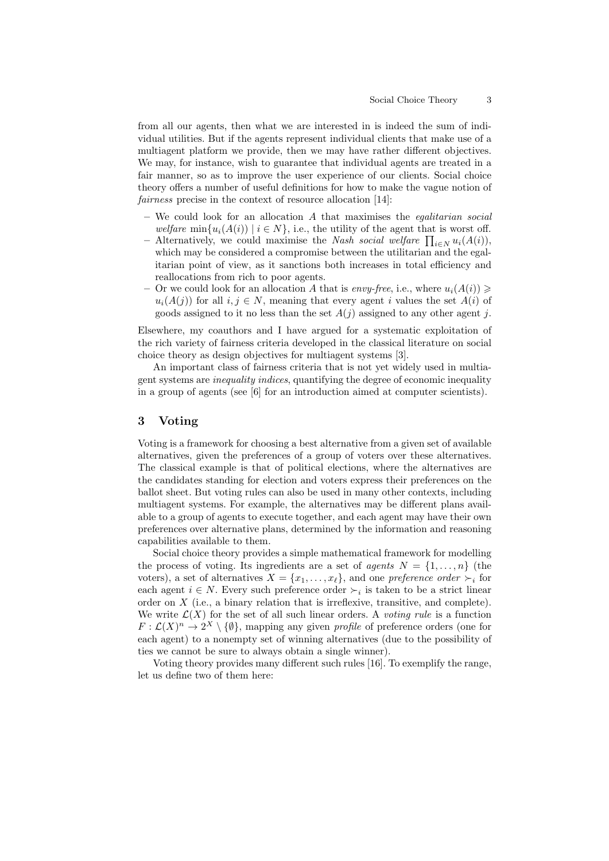from all our agents, then what we are interested in is indeed the sum of individual utilities. But if the agents represent individual clients that make use of a multiagent platform we provide, then we may have rather different objectives. We may, for instance, wish to guarantee that individual agents are treated in a fair manner, so as to improve the user experience of our clients. Social choice theory offers a number of useful definitions for how to make the vague notion of fairness precise in the context of resource allocation [14]:

- $-$  We could look for an allocation  $A$  that maximises the *egalitarian social* welfare  $\min\{u_i(A(i)) \mid i \in N\}$ , i.e., the utility of the agent that is worst off.
- Alternatively, we could maximise the *Nash social welfare*  $\prod_{i\in N} u_i(A(i))$ , which may be considered a compromise between the utilitarian and the egalitarian point of view, as it sanctions both increases in total efficiency and reallocations from rich to poor agents.
- Or we could look for an allocation A that is envy-free, i.e., where  $u_i(A(i)) \geq$  $u_i(A(j))$  for all  $i, j \in N$ , meaning that every agent i values the set  $A(i)$  of goods assigned to it no less than the set  $A(j)$  assigned to any other agent j.

Elsewhere, my coauthors and I have argued for a systematic exploitation of the rich variety of fairness criteria developed in the classical literature on social choice theory as design objectives for multiagent systems [3].

An important class of fairness criteria that is not yet widely used in multiagent systems are inequality indices, quantifying the degree of economic inequality in a group of agents (see [6] for an introduction aimed at computer scientists).

### 3 Voting

Voting is a framework for choosing a best alternative from a given set of available alternatives, given the preferences of a group of voters over these alternatives. The classical example is that of political elections, where the alternatives are the candidates standing for election and voters express their preferences on the ballot sheet. But voting rules can also be used in many other contexts, including multiagent systems. For example, the alternatives may be different plans available to a group of agents to execute together, and each agent may have their own preferences over alternative plans, determined by the information and reasoning capabilities available to them.

Social choice theory provides a simple mathematical framework for modelling the process of voting. Its ingredients are a set of *agents*  $N = \{1, \ldots, n\}$  (the voters), a set of alternatives  $X = \{x_1, \ldots, x_\ell\}$ , and one preference order  $\succ_i$  for each agent  $i \in N$ . Every such preference order  $\succ_i$  is taken to be a strict linear order on  $X$  (i.e., a binary relation that is irreflexive, transitive, and complete). We write  $\mathcal{L}(X)$  for the set of all such linear orders. A voting rule is a function  $F: \mathcal{L}(X)^n \to 2^X \setminus \{\emptyset\}$ , mapping any given *profile* of preference orders (one for each agent) to a nonempty set of winning alternatives (due to the possibility of ties we cannot be sure to always obtain a single winner).

Voting theory provides many different such rules [16]. To exemplify the range, let us define two of them here: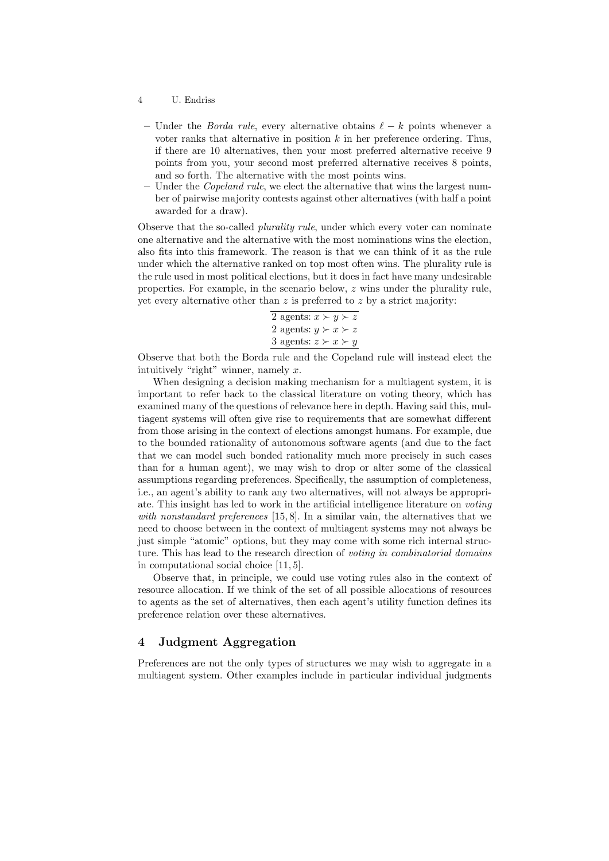- 4 U. Endriss
	- Under the *Borda rule*, every alternative obtains  $\ell k$  points whenever a voter ranks that alternative in position  $k$  in her preference ordering. Thus, if there are 10 alternatives, then your most preferred alternative receive 9 points from you, your second most preferred alternative receives 8 points, and so forth. The alternative with the most points wins.
	- Under the Copeland rule, we elect the alternative that wins the largest number of pairwise majority contests against other alternatives (with half a point awarded for a draw).

Observe that the so-called *plurality rule*, under which every voter can nominate one alternative and the alternative with the most nominations wins the election, also fits into this framework. The reason is that we can think of it as the rule under which the alternative ranked on top most often wins. The plurality rule is the rule used in most political elections, but it does in fact have many undesirable properties. For example, in the scenario below, z wins under the plurality rule, yet every alternative other than z is preferred to z by a strict majority:

```
2 agents: x \succ y \succ z2 agents: y \succ x \succ z3 agents: z \succ x \succ y
```
Observe that both the Borda rule and the Copeland rule will instead elect the intuitively "right" winner, namely  $x$ .

When designing a decision making mechanism for a multiagent system, it is important to refer back to the classical literature on voting theory, which has examined many of the questions of relevance here in depth. Having said this, multiagent systems will often give rise to requirements that are somewhat different from those arising in the context of elections amongst humans. For example, due to the bounded rationality of autonomous software agents (and due to the fact that we can model such bonded rationality much more precisely in such cases than for a human agent), we may wish to drop or alter some of the classical assumptions regarding preferences. Specifically, the assumption of completeness, i.e., an agent's ability to rank any two alternatives, will not always be appropriate. This insight has led to work in the artificial intelligence literature on voting with nonstandard preferences [15,8]. In a similar vain, the alternatives that we need to choose between in the context of multiagent systems may not always be just simple "atomic" options, but they may come with some rich internal structure. This has lead to the research direction of voting in combinatorial domains in computational social choice [11, 5].

Observe that, in principle, we could use voting rules also in the context of resource allocation. If we think of the set of all possible allocations of resources to agents as the set of alternatives, then each agent's utility function defines its preference relation over these alternatives.

### 4 Judgment Aggregation

Preferences are not the only types of structures we may wish to aggregate in a multiagent system. Other examples include in particular individual judgments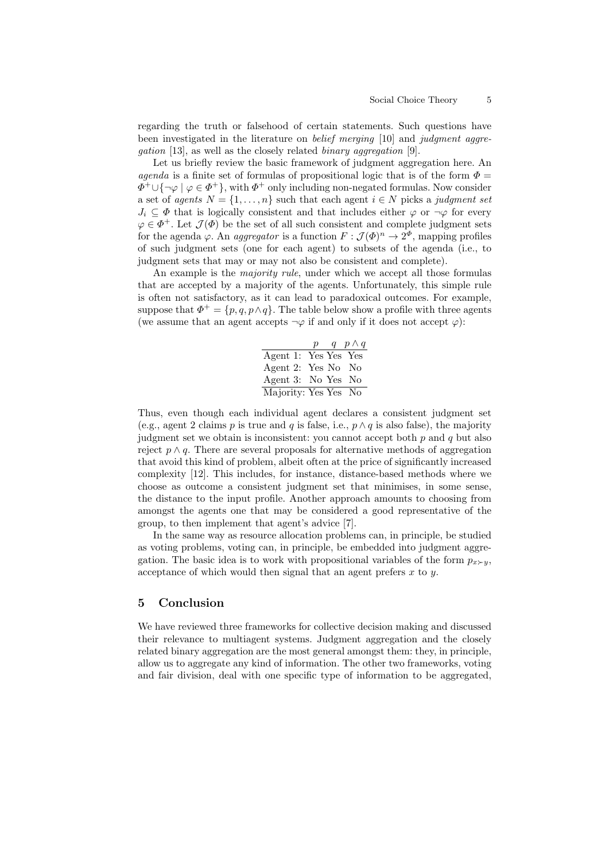regarding the truth or falsehood of certain statements. Such questions have been investigated in the literature on belief merging [10] and judgment aggregation [13], as well as the closely related binary aggregation [9].

Let us briefly review the basic framework of judgment aggregation here. An agenda is a finite set of formulas of propositional logic that is of the form  $\Phi =$  $\Phi^+ \cup \{\neg \varphi \mid \varphi \in \Phi^+ \}$ , with  $\Phi^+$  only including non-negated formulas. Now consider a set of *agents*  $N = \{1, ..., n\}$  such that each agent  $i \in N$  picks a *judgment set*  $J_i \subseteq \Phi$  that is logically consistent and that includes either  $\varphi$  or  $\neg \varphi$  for every  $\varphi \in \Phi^+$ . Let  $\mathcal{J}(\Phi)$  be the set of all such consistent and complete judgment sets for the agenda  $\varphi$ . An *aggregator* is a function  $F : \mathcal{J}(\Phi)^n \to 2^{\Phi}$ , mapping profiles of such judgment sets (one for each agent) to subsets of the agenda (i.e., to judgment sets that may or may not also be consistent and complete).

An example is the *majority rule*, under which we accept all those formulas that are accepted by a majority of the agents. Unfortunately, this simple rule is often not satisfactory, as it can lead to paradoxical outcomes. For example, suppose that  $\Phi^+ = \{p, q, p \wedge q\}$ . The table below show a profile with three agents (we assume that an agent accepts  $\neg \varphi$  if and only if it does not accept  $\varphi$ ):

|                      |  | $p \ q \ p \wedge q$ |
|----------------------|--|----------------------|
| Agent 1: Yes Yes Yes |  |                      |
| Agent 2: Yes No No   |  |                      |
| Agent 3: No Yes No   |  |                      |
| Majority: Yes Yes No |  |                      |

Thus, even though each individual agent declares a consistent judgment set (e.g., agent 2 claims p is true and q is false, i.e.,  $p \wedge q$  is also false), the majority judgment set we obtain is inconsistent: you cannot accept both  $p$  and  $q$  but also reject  $p \wedge q$ . There are several proposals for alternative methods of aggregation that avoid this kind of problem, albeit often at the price of significantly increased complexity [12]. This includes, for instance, distance-based methods where we choose as outcome a consistent judgment set that minimises, in some sense, the distance to the input profile. Another approach amounts to choosing from amongst the agents one that may be considered a good representative of the group, to then implement that agent's advice [7].

In the same way as resource allocation problems can, in principle, be studied as voting problems, voting can, in principle, be embedded into judgment aggregation. The basic idea is to work with propositional variables of the form  $p_{x \succ y}$ , acceptance of which would then signal that an agent prefers  $x$  to  $y$ .

### 5 Conclusion

We have reviewed three frameworks for collective decision making and discussed their relevance to multiagent systems. Judgment aggregation and the closely related binary aggregation are the most general amongst them: they, in principle, allow us to aggregate any kind of information. The other two frameworks, voting and fair division, deal with one specific type of information to be aggregated,